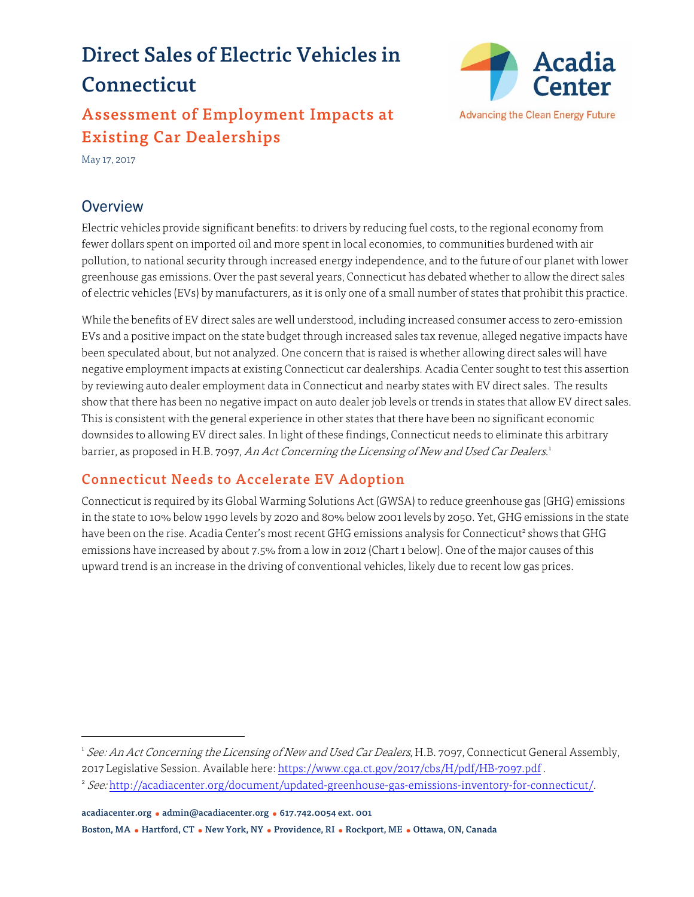# Direct Sales of Electric Vehicles in Connecticut

## Assessment of Employment Impacts at Existing Car Dealerships



May 17, 2017

## **Overview**

Electric vehicles provide significant benefits: to drivers by reducing fuel costs, to the regional economy from fewer dollars spent on imported oil and more spent in local economies, to communities burdened with air pollution, to national security through increased energy independence, and to the future of our planet with lower greenhouse gas emissions. Over the past several years, Connecticut has debated whether to allow the direct sales of electric vehicles (EVs) by manufacturers, as it is only one of a small number of states that prohibit this practice.

While the benefits of EV direct sales are well understood, including increased consumer access to zero-emission EVs and a positive impact on the state budget through increased sales tax revenue, alleged negative impacts have been speculated about, but not analyzed. One concern that is raised is whether allowing direct sales will have negative employment impacts at existing Connecticut car dealerships. Acadia Center sought to test this assertion by reviewing auto dealer employment data in Connecticut and nearby states with EV direct sales. The results show that there has been no negative impact on auto dealer job levels or trends in states that allow EV direct sales. This is consistent with the general experience in other states that there have been no significant economic downsides to allowing EV direct sales. In light of these findings, Connecticut needs to eliminate this arbitrary barrier, as proposed in H.B. 7097, *An Act Concerning the Licensing of New and Used Car Dealers*.<sup>1</sup>

## Connecticut Needs to Accelerate EV Adoption

Connecticut is required by its Global Warming Solutions Act (GWSA) to reduce greenhouse gas (GHG) emissions in the state to 10% below 1990 levels by 2020 and 80% below 2001 levels by 2050. Yet, GHG emissions in the state have been on the rise. Acadia Center's most recent GHG emissions analysis for Connecticut<sup>2</sup> shows that GHG emissions have increased by about 7.5% from a low in 2012 (Chart 1 below). One of the major causes of this upward trend is an increase in the driving of conventional vehicles, likely due to recent low gas prices.

<sup>&</sup>lt;sup>1</sup> See: An Act Concerning the Licensing of New and Used Car Dealers, H.B. 7097, Connecticut General Assembly, 2017 Legislative Session. Available here: https://www.cga.ct.gov/2017/cbs/H/pdf/HB-7097.pdf .

<sup>&</sup>lt;sup>2</sup> See: http://acadiacenter.org/document/updated-greenhouse-gas-emissions-inventory-for-connecticut/.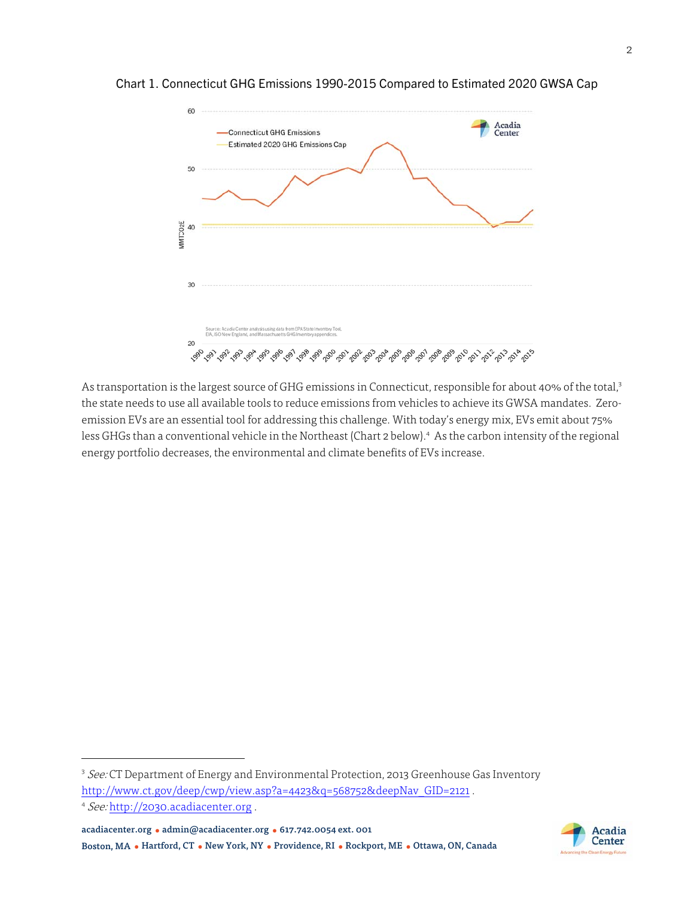

Chart 1. Connecticut GHG Emissions 1990-2015 Compared to Estimated 2020 GWSA Cap

As transportation is the largest source of GHG emissions in Connecticut, responsible for about 40% of the total,3 the state needs to use all available tools to reduce emissions from vehicles to achieve its GWSA mandates. Zeroemission EVs are an essential tool for addressing this challenge. With today's energy mix, EVs emit about 75% less GHGs than a conventional vehicle in the Northeast (Chart 2 below).<sup>4</sup> As the carbon intensity of the regional energy portfolio decreases, the environmental and climate benefits of EVs increase.

acadiacenter.org ● admin@acadiacenter.org ● 617.742.0054 ext. 001 Boston, MA ● Hartford, CT ● New York, NY ● Providence, RI ● Rockport, ME ● Ottawa, ON, Canada



<sup>&</sup>lt;sup>3</sup> See: CT Department of Energy and Environmental Protection, 2013 Greenhouse Gas Inventory http://www.ct.gov/deep/cwp/view.asp?a=4423&q=568752&deepNav GID=2121.

<sup>4</sup> See: http://2030.acadiacenter.org .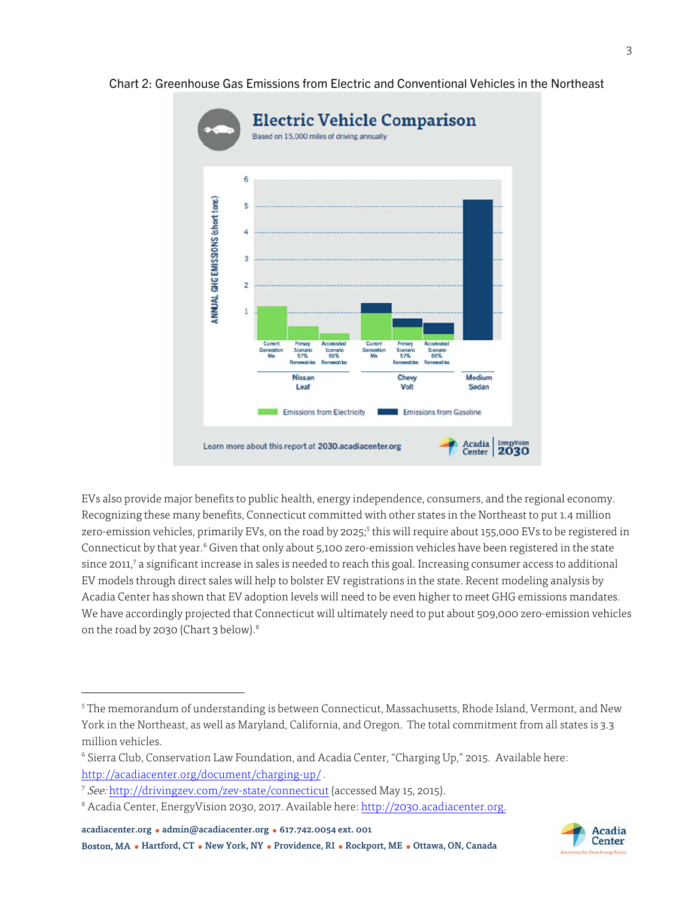

#### Chart 2: Greenhouse Gas Emissions from Electric and Conventional Vehicles in the Northeast

EVs also provide major benefits to public health, energy independence, consumers, and the regional economy. Recognizing these many benefits, Connecticut committed with other states in the Northeast to put 1.4 million zero-emission vehicles, primarily EVs, on the road by 2025;<sup>5</sup> this will require about 155,000 EVs to be registered in Connecticut by that year.<sup>6</sup> Given that only about 5,100 zero-emission vehicles have been registered in the state since 2011,<sup>7</sup> a significant increase in sales is needed to reach this goal. Increasing consumer access to additional EV models through direct sales will help to bolster EV registrations in the state. Recent modeling analysis by Acadia Center has shown that EV adoption levels will need to be even higher to meet GHG emissions mandates. We have accordingly projected that Connecticut will ultimately need to put about 509,000 zero-emission vehicles on the road by 2030 (Chart 3 below).<sup>8</sup>

acadiacenter.org ● admin@acadiacenter.org ● 617.742.0054 ext. 001

Boston, MA ● Hartford, CT ● New York, NY ● Providence, RI ● Rockport, ME ● Ottawa, ON, Canada



<sup>&</sup>lt;sup>5</sup>The memorandum of understanding is between Connecticut, Massachusetts, Rhode Island, Vermont, and New York in the Northeast, as well as Maryland, California, and Oregon. The total commitment from all states is 3.3 million vehicles.

<sup>6</sup> Sierra Club, Conservation Law Foundation, and Acadia Center, "Charging Up," 2015. Available here: http://acadiacenter.org/document/charging-up/ .

<sup>7</sup> See: http://drivingzev.com/zev-state/connecticut (accessed May 15, 2015).

<sup>&</sup>lt;sup>8</sup> Acadia Center, EnergyVision 2030, 2017. Available here: <u>http://2030.acadiacenter.org.</u>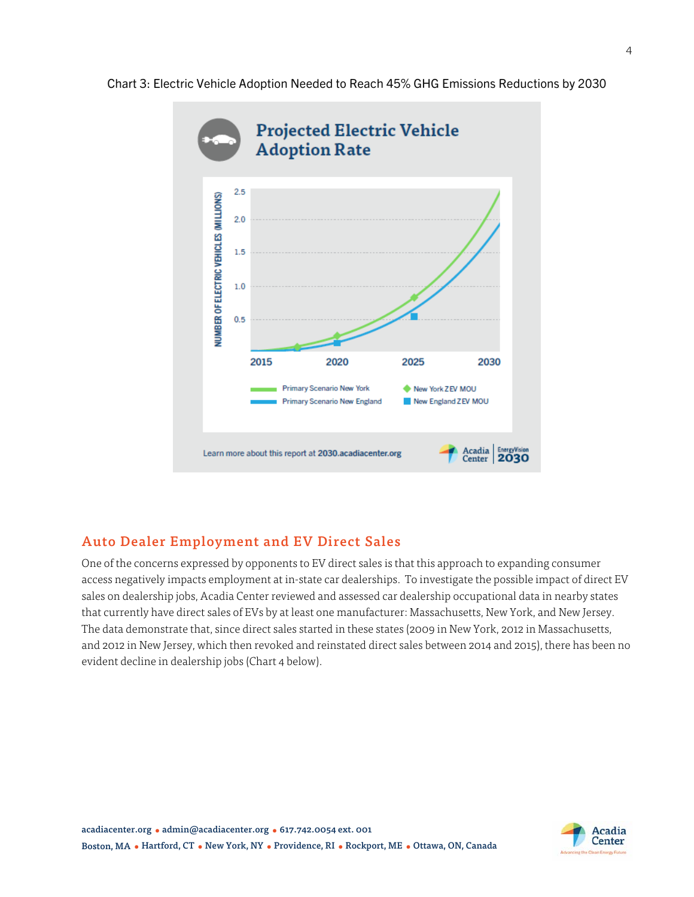



### Auto Dealer Employment and EV Direct Sales

One of the concerns expressed by opponents to EV direct sales is that this approach to expanding consumer access negatively impacts employment at in-state car dealerships. To investigate the possible impact of direct EV sales on dealership jobs, Acadia Center reviewed and assessed car dealership occupational data in nearby states that currently have direct sales of EVs by at least one manufacturer: Massachusetts, New York, and New Jersey. The data demonstrate that, since direct sales started in these states (2009 in New York, 2012 in Massachusetts, and 2012 in New Jersey, which then revoked and reinstated direct sales between 2014 and 2015), there has been no evident decline in dealership jobs (Chart 4 below).

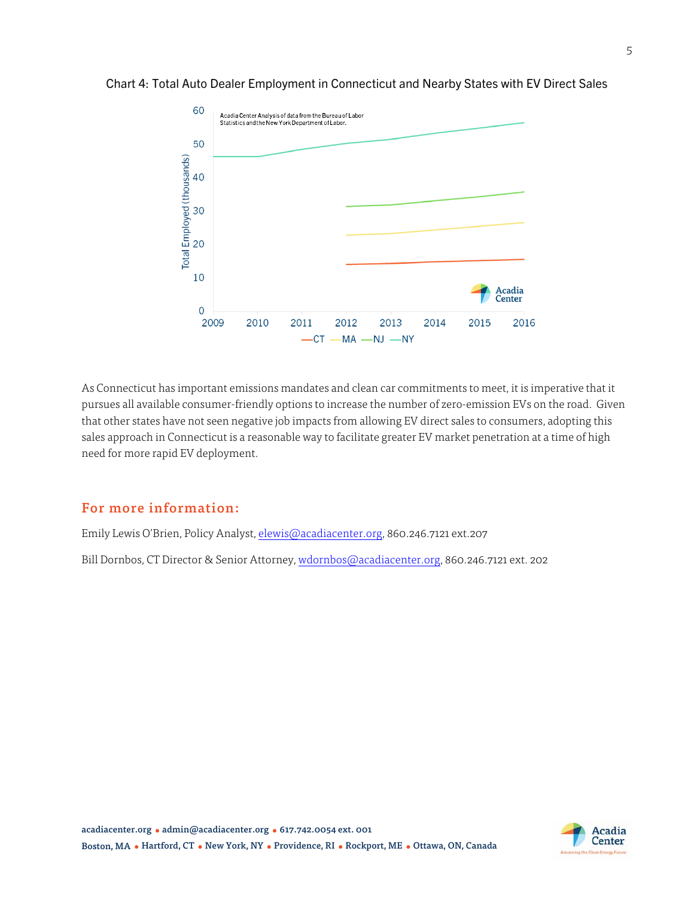

#### Chart 4: Total Auto Dealer Employment in Connecticut and Nearby States with EV Direct Sales

As Connecticut has important emissions mandates and clean car commitments to meet, it is imperative that it pursues all available consumer-friendly options to increase the number of zero-emission EVs on the road. Given that other states have not seen negative job impacts from allowing EV direct sales to consumers, adopting this sales approach in Connecticut is a reasonable way to facilitate greater EV market penetration at a time of high need for more rapid EV deployment.

#### For more information:

Emily Lewis O'Brien, Policy Analyst, elewis@acadiacenter.org, 860.246.7121 ext.207

Bill Dornbos, CT Director & Senior Attorney, wdornbos@acadiacenter.org, 860.246.7121 ext. 202

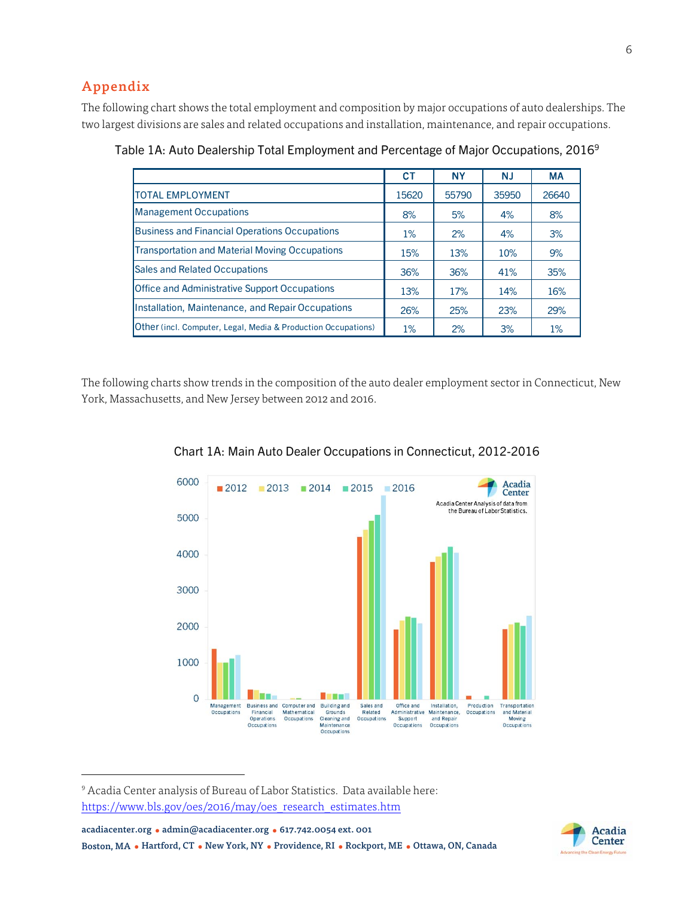## Appendix

The following chart shows the total employment and composition by major occupations of auto dealerships. The two largest divisions are sales and related occupations and installation, maintenance, and repair occupations.

|                                                                      | CТ    | <b>NY</b> | <b>NJ</b> | <b>MA</b> |
|----------------------------------------------------------------------|-------|-----------|-----------|-----------|
| <b>TOTAL EMPLOYMENT</b>                                              | 15620 | 55790     | 35950     | 26640     |
| <b>Management Occupations</b>                                        | 8%    | 5%        | 4%        | 8%        |
| <b>Business and Financial Operations Occupations</b>                 | 1%    | 2%        | 4%        | 3%        |
| <b>Transportation and Material Moving Occupations</b>                | 15%   | 13%       | 10%       | 9%        |
| <b>Sales and Related Occupations</b>                                 | 36%   | 36%       | 41%       | 35%       |
| <b>Office and Administrative Support Occupations</b>                 | 13%   | 17%       | 14%       | 16%       |
| Installation, Maintenance, and Repair Occupations                    | 26%   | 25%       | 23%       | 29%       |
| <b>Other</b> (incl. Computer, Legal, Media & Production Occupations) | 1%    | 2%        | 3%        | 1%        |

Table 1A: Auto Dealership Total Employment and Percentage of Major Occupations, 20169

The following charts show trends in the composition of the auto dealer employment sector in Connecticut, New York, Massachusetts, and New Jersey between 2012 and 2016.



Chart 1A: Main Auto Dealer Occupations in Connecticut, 2012-2016

9 Acadia Center analysis of Bureau of Labor Statistics. Data available here: https://www.bls.gov/oes/2016/may/oes\_research\_estimates.htm

acadiacenter.org ● admin@acadiacenter.org ● 617.742.0054 ext. 001

 $\overline{a}$ 

Boston, MA ● Hartford, CT ● New York, NY ● Providence, RI ● Rockport, ME ● Ottawa, ON, Canada

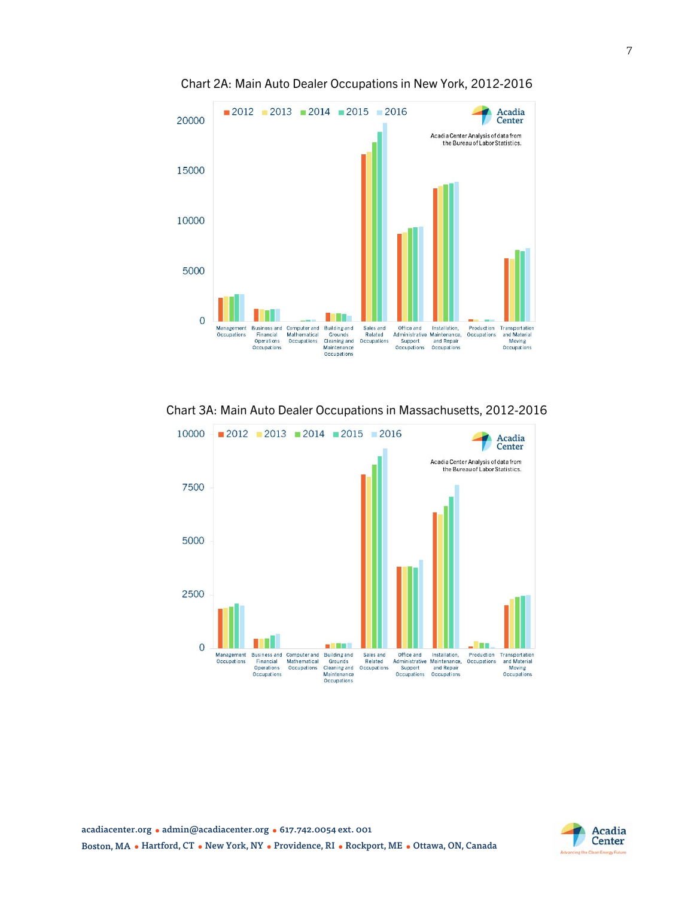

Chart 2A: Main Auto Dealer Occupations in New York, 2012-2016

Chart 3A: Main Auto Dealer Occupations in Massachusetts, 2012-2016